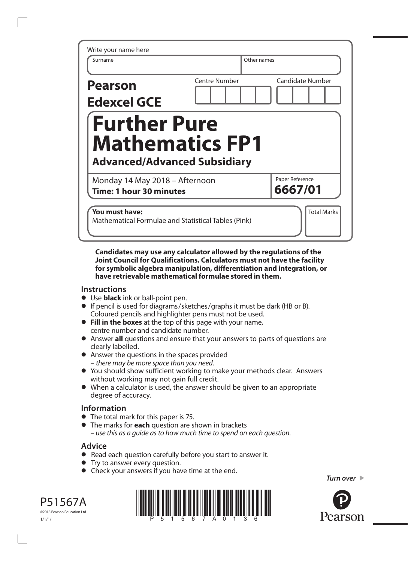|                      |                                                               | Other names |                 |                         |
|----------------------|---------------------------------------------------------------|-------------|-----------------|-------------------------|
| <b>Centre Number</b> |                                                               |             |                 | <b>Candidate Number</b> |
| <b>Further Pure</b>  | <b>Mathematics FP1</b><br><b>Advanced/Advanced Subsidiary</b> |             |                 |                         |
|                      |                                                               |             | Paper Reference |                         |
|                      |                                                               |             |                 |                         |

**Candidates may use any calculator allowed by the regulations of the Joint Council for Qualifications. Calculators must not have the facility for symbolic algebra manipulation, differentiation and integration, or have retrievable mathematical formulae stored in them.** 

## **Instructions**

- **•** Use **black** ink or ball-point pen.
- **•** If pencil is used for diagrams/sketches/graphs it must be dark (HB or B). Coloured pencils and highlighter pens must not be used.
- **• Fill in the boxes** at the top of this page with your name, centre number and candidate number.
- **•** Answer **all** questions and ensure that your answers to parts of questions are clearly labelled.
- **•** Answer the questions in the spaces provided – *there may be more space than you need*.
- **•** You should show sufficient working to make your methods clear. Answers without working may not gain full credit.
- **•** When a calculator is used, the answer should be given to an appropriate degree of accuracy.

## **Information**

- **•** The total mark for this paper is 75.
- **•** The marks for **each** question are shown in brackets *– use this as a guide as to how much time to spend on each question.*

## **Advice**

- **•** Read each question carefully before you start to answer it.
- **•** Try to answer every question.
- **•** Check your answers if you have time at the end.

*Turn over* 



P51567A ©2018 Pearson Education Ltd.

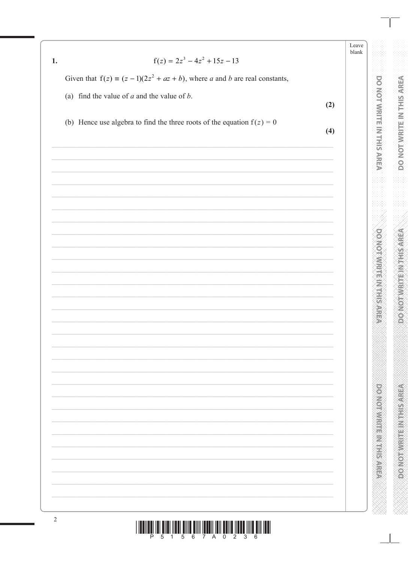| ≂av   |  |
|-------|--|
| hlank |  |

**DOMOTAMENT RESPECT** 

**DOMESTIC PROPERTY** 

Given that  $f(z) = (z - 1)(2z^2 + az + b)$ , where a and b are real constants,

(a) find the value of  $a$  and the value of  $b$ .

 $\overline{1}$ .

- $(2)$
- (b) Hence use algebra to find the three roots of the equation  $f(z) = 0$

 $(4)$ 

| $\sqrt{2}$                                                                                                                                                                                                                                                                                                                                                                                                                                                    |
|---------------------------------------------------------------------------------------------------------------------------------------------------------------------------------------------------------------------------------------------------------------------------------------------------------------------------------------------------------------------------------------------------------------------------------------------------------------|
| $\begin{array}{c} \text{if} \ \text{if} \ \text{if} \ \text{if} \ \text{if} \ \text{if} \ \text{if} \ \text{if} \ \text{if} \ \text{if} \ \text{if} \ \text{if} \ \text{if} \ \text{if} \ \text{if} \ \text{if} \ \text{if} \ \text{if} \ \text{if} \ \text{if} \ \text{if} \ \text{if} \ \text{if} \ \text{if} \ \text{if} \ \text{if} \ \text{if} \ \text{if} \ \text{if} \ \text{if} \ \text{if} \ \text{if} \ \text{if} \ \text{if} \ \text{if} \ \text{$ |
|                                                                                                                                                                                                                                                                                                                                                                                                                                                               |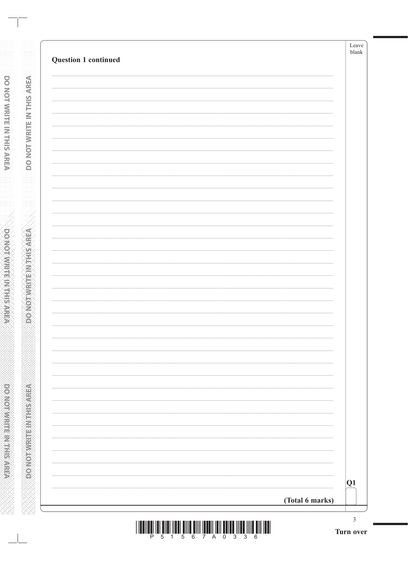| Question 1 continued |                 |
|----------------------|-----------------|
|                      |                 |
|                      |                 |
|                      |                 |
|                      |                 |
|                      |                 |
|                      |                 |
|                      |                 |
|                      |                 |
|                      |                 |
|                      |                 |
|                      |                 |
|                      |                 |
|                      |                 |
|                      |                 |
|                      |                 |
|                      |                 |
|                      |                 |
|                      |                 |
|                      |                 |
|                      |                 |
|                      | Q1              |
|                      | (Total 6 marks) |

**DONOTWRITE IN THE AREA** 

**DONOTWRITEIN THIS AREA**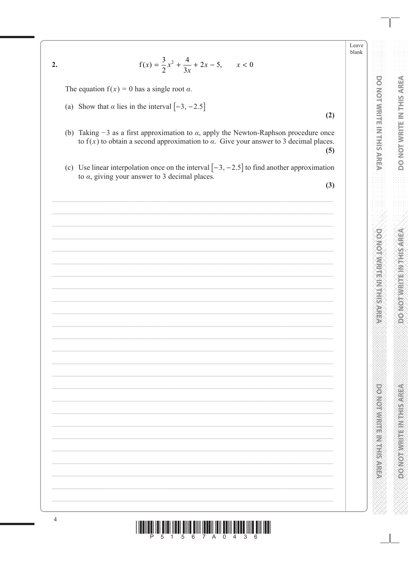Leave blank

**DOMOTAWRITE IN THIS AREA** 

**POINT AND INTERNATIONAL PROPERTY** 

 $2.$ 

 $f(x) = \frac{3}{2}x^2 + \frac{4}{3x} + 2x - 5, \quad x < 0$ 

The equation  $f(x) = 0$  has a single root  $\alpha$ .

- (a) Show that  $\alpha$  lies in the interval  $[-3, -2.5]$
- (b) Taking  $-3$  as a first approximation to  $\alpha$ , apply the Newton-Raphson procedure once to  $f(x)$  to obtain a second approximation to  $\alpha$ . Give your answer to 3 decimal places.  $(5)$
- (c) Use linear interpolation once on the interval  $[-3, -2.5]$  to find another approximation to  $\alpha$ , giving your answer to 3 decimal places.

 $(3)$ 

 $(2)$ 

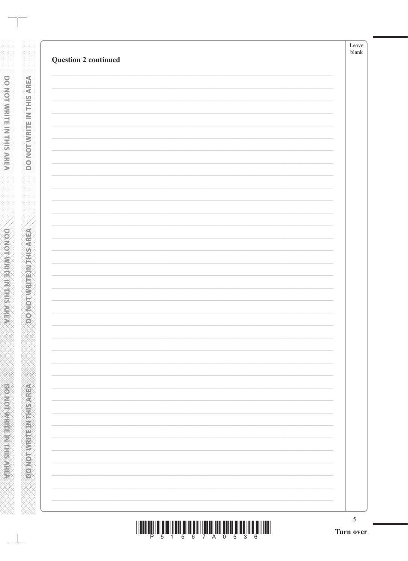|                             | Leave<br>$\ensuremath{\textrm{blank}}$ |
|-----------------------------|----------------------------------------|
| <b>Question 2 continued</b> |                                        |
|                             |                                        |
|                             |                                        |
|                             |                                        |
|                             |                                        |
|                             |                                        |
|                             |                                        |
|                             |                                        |
|                             |                                        |
|                             |                                        |
|                             |                                        |
|                             |                                        |
|                             |                                        |
|                             |                                        |
|                             |                                        |
|                             |                                        |
|                             |                                        |
|                             |                                        |
|                             |                                        |
|                             |                                        |
|                             |                                        |
|                             |                                        |
|                             |                                        |
|                             |                                        |
|                             |                                        |
|                             |                                        |
|                             |                                        |
|                             |                                        |
|                             |                                        |
|                             |                                        |
|                             |                                        |
|                             |                                        |
|                             |                                        |

**DONOTWELLEMANSAREA** 

**RENEWALK CONCORDING** 

|  | P 5 1 5 6 7 A 0 5 3 6 |  |  |  |  |  |
|--|-----------------------|--|--|--|--|--|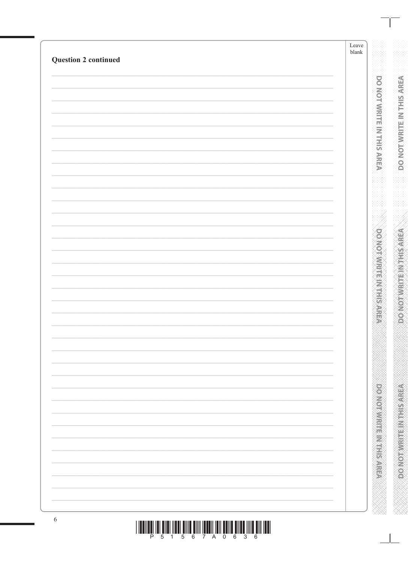| <b>Question 2 continued</b> | Leave<br>$\ensuremath{\textrm{blank}}$ |
|-----------------------------|----------------------------------------|
|                             |                                        |
|                             |                                        |
|                             |                                        |
|                             |                                        |
|                             |                                        |
|                             |                                        |
|                             |                                        |
|                             |                                        |
|                             |                                        |
|                             |                                        |
|                             |                                        |
|                             |                                        |
|                             |                                        |
|                             |                                        |
|                             |                                        |
|                             |                                        |
|                             |                                        |
|                             |                                        |
|                             |                                        |
|                             |                                        |
|                             |                                        |
|                             |                                        |
|                             |                                        |
|                             |                                        |
|                             |                                        |
|                             |                                        |
|                             |                                        |
|                             |                                        |
|                             |                                        |
|                             |                                        |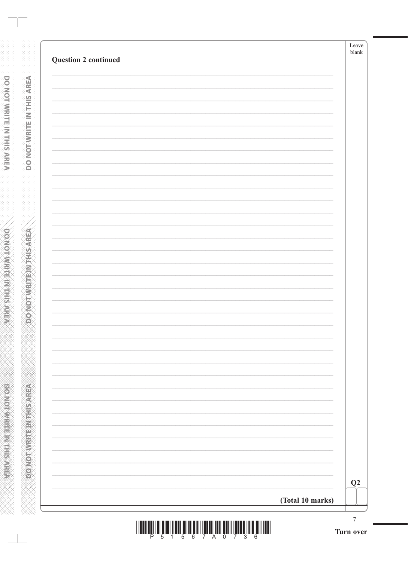| <b>Question 2 continued</b> |                  | Leave<br>$b$ lank |
|-----------------------------|------------------|-------------------|
|                             |                  |                   |
|                             |                  |                   |
|                             |                  |                   |
|                             |                  |                   |
|                             |                  |                   |
|                             |                  |                   |
|                             |                  |                   |
|                             |                  |                   |
|                             |                  |                   |
|                             |                  |                   |
|                             |                  |                   |
|                             |                  |                   |
|                             |                  |                   |
|                             |                  |                   |
|                             |                  |                   |
|                             |                  |                   |
|                             |                  |                   |
|                             |                  |                   |
|                             |                  |                   |
|                             |                  |                   |
|                             |                  | Q2                |
|                             | (Total 10 marks) |                   |

**DONOTWRITE IN THE AREA** 

**CONDITIONED TO A REPORT ON CAS**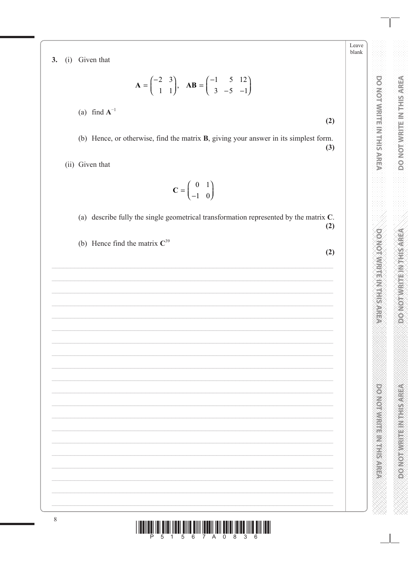Leave blank

 $(2)$ 

 $(2)$ 

**POINT ANTIFICATION AND ACTES** 

(i) Given that  $3.$ 

$$
\mathbf{A} = \begin{pmatrix} -2 & 3 \\ 1 & 1 \end{pmatrix}, \quad \mathbf{AB} = \begin{pmatrix} -1 & 5 & 12 \\ 3 & -5 & -1 \end{pmatrix}
$$

(a) find  $A^{-1}$ 

(b) Hence, or otherwise, find the matrix **B**, giving your answer in its simplest form.  $(3)$ 

(ii) Given that

$$
\mathbf{C} = \begin{pmatrix} 0 & 1 \\ -1 & 0 \end{pmatrix}
$$

(a) describe fully the single geometrical transformation represented by the matrix  $C$ .  $(2)$ 

(b) Hence find the matrix  $C^{39}$ 

<u>||ITINI || TILLEN LITTLE TINI ENILLEN DELLE TILLEN DELLE TILLEN DELL</u>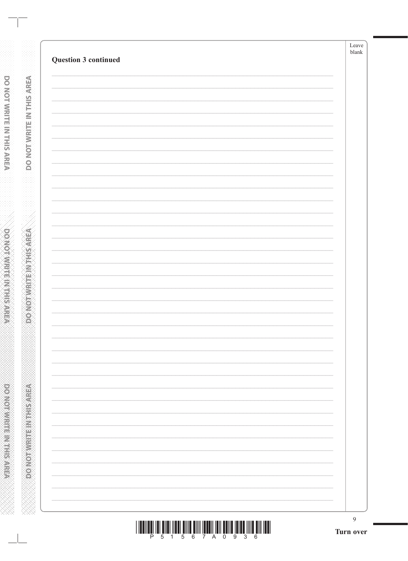|                      | Leave<br>blank |
|----------------------|----------------|
| Question 3 continued |                |
|                      |                |
|                      |                |
|                      |                |
|                      |                |
|                      |                |
|                      |                |
|                      |                |
|                      |                |
|                      |                |
|                      |                |
|                      |                |
|                      |                |
|                      |                |
|                      |                |
|                      |                |
|                      |                |
|                      |                |
|                      |                |
|                      |                |
|                      |                |
|                      |                |
|                      |                |
|                      |                |
|                      |                |
|                      |                |
|                      |                |
|                      |                |
|                      |                |
|                      |                |
|                      |                |
|                      |                |
|                      |                |
|                      |                |
|                      |                |
|                      |                |

**DONOTWATE INTHIS AREA** 

**ASSESSMENT PRODUCT** 

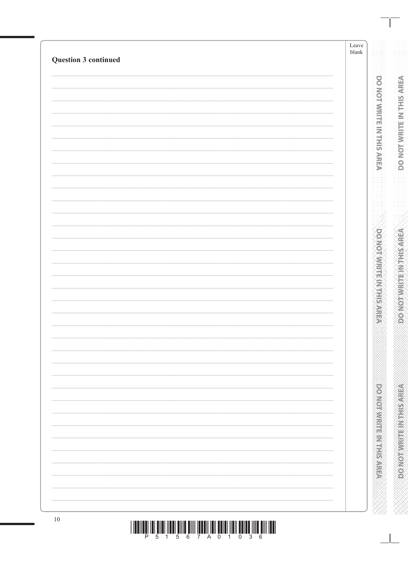| Question 3 continued | Leave<br>$\ensuremath{\textrm{blank}}$ |
|----------------------|----------------------------------------|
|                      |                                        |
|                      |                                        |
|                      |                                        |
|                      |                                        |
|                      |                                        |
|                      |                                        |
|                      |                                        |
|                      |                                        |
|                      |                                        |
|                      |                                        |
|                      |                                        |
|                      |                                        |
|                      |                                        |
|                      |                                        |
|                      |                                        |
|                      |                                        |
|                      |                                        |
|                      |                                        |
|                      |                                        |
|                      |                                        |
|                      |                                        |
|                      |                                        |
|                      |                                        |
|                      |                                        |
|                      |                                        |
|                      |                                        |
|                      |                                        |
|                      |                                        |
|                      |                                        |
|                      |                                        |
|                      |                                        |
|                      |                                        |
|                      |                                        |
|                      |                                        |
|                      |                                        |
|                      |                                        |
|                      |                                        |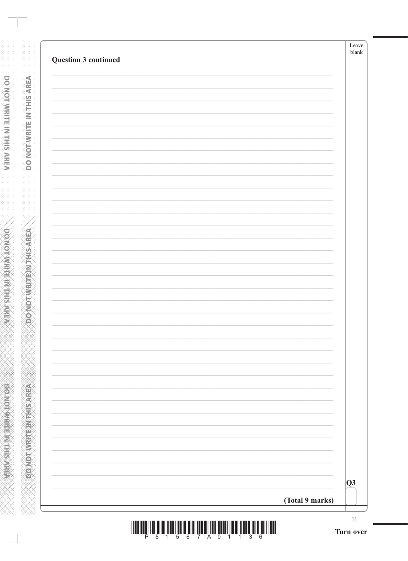| $\overline{Q}3$ |
|-----------------|
| (Total 9 marks) |

DONOTWRITEW THE AREA

**DO NOT WHITE IN THIS AREA** 

www.www.www.www.www.ww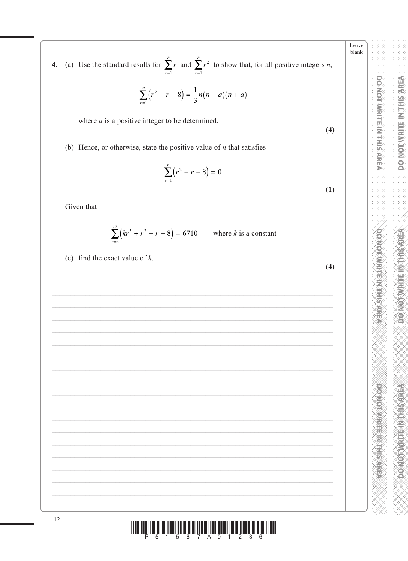Leave blank

 $(4)$ 

 $(1)$ 

 $(4)$ 

**DOMOTVIRINITHIS AREA** 

**POINT AND INTERNATIONAL PROPERTY** 

(a) Use the standard results for  $\sum_{r=1}^{n} r$  and  $\sum_{r=1}^{n} r^2$  to show that, for all positive integers *n*,  $\overline{4}$ .

$$
\sum_{r=1}^{n} (r^2 - r - 8) = \frac{1}{3} n(n - a)(n + a)
$$

where  $a$  is a positive integer to be determined.

(b) Hence, or otherwise, state the positive value of  $n$  that satisfies

$$
\sum_{r=1}^{n} (r^2 - r - 8) = 0
$$

Given that

$$
\sum_{r=3}^{17} (kr^3 + r^2 - r - 8) = 6710
$$
 where *k* is a constant

(c) find the exact value of  $k$ .

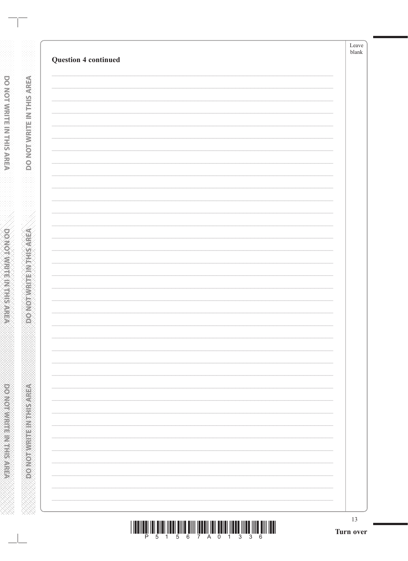| 13 |
|----|
|    |
|    |
|    |
|    |
|    |
|    |
|    |
|    |
|    |
|    |
|    |
|    |
|    |
|    |
|    |
|    |
|    |
|    |
|    |
|    |
|    |
|    |
|    |
|    |
|    |

**DONOTWRITE INTHIS AREA** 

**OONOTWRITEINTHISAREA**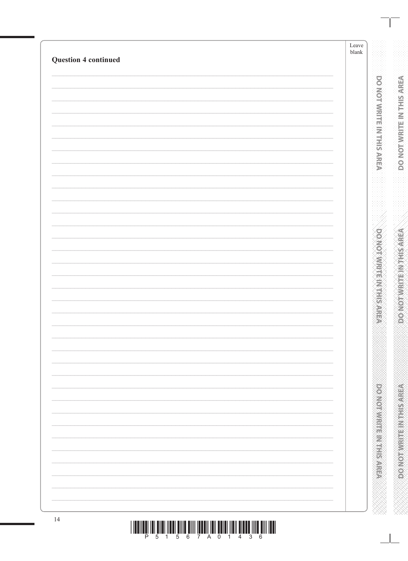| <b>Question 4 continued</b> | Leave<br>${\it blank}$ |
|-----------------------------|------------------------|
|                             |                        |
|                             |                        |
|                             |                        |
|                             |                        |
|                             |                        |
|                             |                        |
|                             |                        |
|                             |                        |
|                             |                        |
|                             |                        |
|                             |                        |
|                             |                        |
|                             |                        |
|                             |                        |
|                             |                        |
|                             |                        |
|                             |                        |
|                             |                        |
|                             |                        |
|                             |                        |
|                             |                        |
|                             |                        |
|                             |                        |
|                             |                        |
|                             |                        |
|                             |                        |
|                             |                        |
|                             |                        |
|                             |                        |
|                             |                        |
|                             |                        |
|                             |                        |
|                             |                        |
|                             |                        |
|                             |                        |
|                             |                        |
|                             |                        |
| 14                          |                        |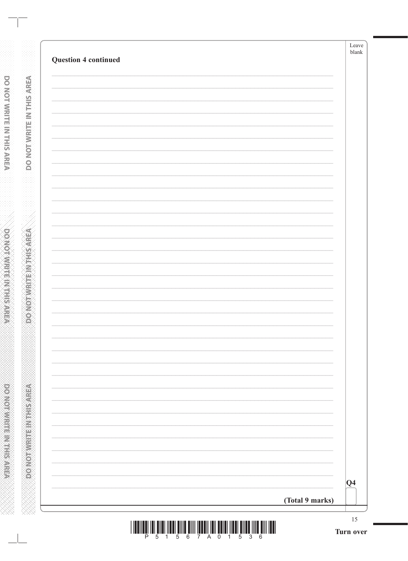| <b>Question 4 continued</b> |                 |                 |
|-----------------------------|-----------------|-----------------|
|                             |                 |                 |
|                             |                 |                 |
|                             |                 |                 |
|                             |                 |                 |
|                             |                 |                 |
|                             |                 |                 |
|                             |                 |                 |
|                             |                 |                 |
|                             |                 |                 |
|                             |                 |                 |
|                             |                 |                 |
|                             |                 |                 |
|                             |                 |                 |
|                             |                 |                 |
|                             |                 |                 |
|                             |                 |                 |
|                             |                 |                 |
|                             |                 |                 |
|                             |                 |                 |
|                             |                 |                 |
|                             |                 |                 |
|                             |                 |                 |
|                             |                 |                 |
|                             |                 |                 |
|                             |                 | $\overline{Q4}$ |
|                             | (Total 9 marks) |                 |

**DONOTWRITEINTHIS AREA** 

**DONOTWRITEIN THIS AFEA** www.www.www.www.www.www.www.ww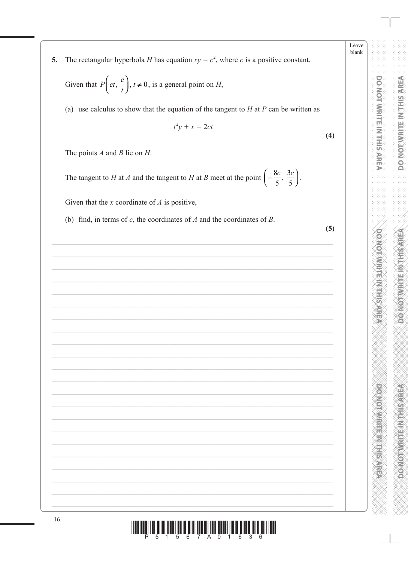Leave blank

**PONDICIPALITY IN THE REPORTS** 

The rectangular hyperbola H has equation  $xy = c^2$ , where c is a positive constant. 5.

Given that  $P\left(ct, \frac{c}{t}\right)$ ,  $t \neq 0$ , is a general point on *H*,

(a) use calculus to show that the equation of the tangent to  $H$  at  $P$  can be written as

$$
t^2y + x = 2ct
$$

The points  $A$  and  $B$  lie on  $H$ .

The tangent to *H* at *A* and the tangent to *H* at *B* meet at the point  $\left(-\frac{8c}{5}, \frac{3c}{5}\right)$ .

Given that the  $x$  coordinate of  $A$  is positive,

(b) find, in terms of  $c$ , the coordinates of  $A$  and the coordinates of  $B$ .

 $(5)$ 

 $(4)$ 

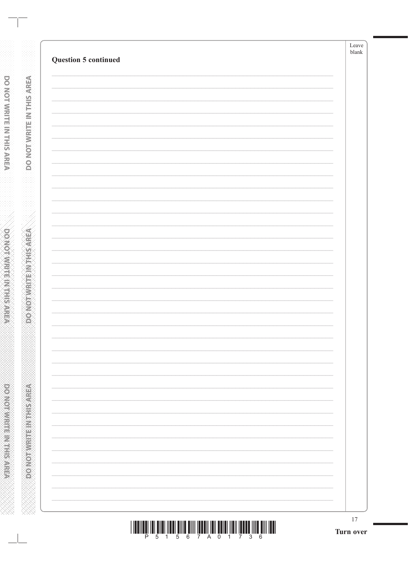| <b>Question 5 continued</b> | $\ensuremath{\textrm{blank}}$ |
|-----------------------------|-------------------------------|
|                             |                               |
|                             |                               |
|                             |                               |
|                             |                               |
|                             |                               |
|                             |                               |
|                             |                               |
|                             |                               |
|                             |                               |
|                             |                               |
|                             |                               |
|                             |                               |
|                             |                               |
|                             |                               |
|                             |                               |
|                             |                               |
|                             |                               |
|                             |                               |
|                             |                               |
|                             |                               |
|                             |                               |
|                             |                               |
|                             |                               |
|                             |                               |
|                             |                               |
|                             |                               |
|                             |                               |
|                             |                               |
|                             |                               |
|                             |                               |
|                             |                               |
|                             |                               |

**DONOTWRITEINTHISAREA** 

|  |  |  |  | 1 5 6 7 A 0 1 7 3 |  |  |  |
|--|--|--|--|-------------------|--|--|--|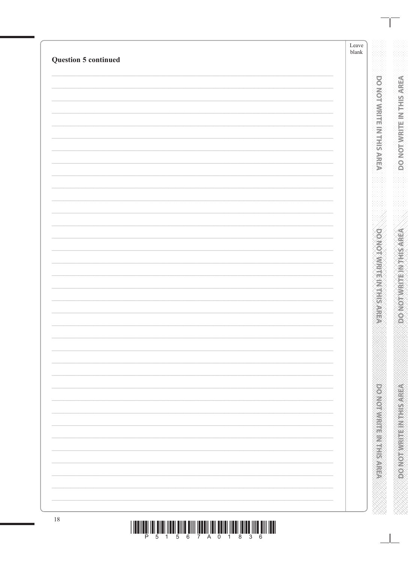| <b>Question 5 continued</b> | Leave<br>$\ensuremath{\textrm{blank}}$ |
|-----------------------------|----------------------------------------|
|                             |                                        |
|                             |                                        |
|                             |                                        |
|                             |                                        |
|                             |                                        |
|                             |                                        |
|                             |                                        |
|                             |                                        |
|                             |                                        |
|                             |                                        |
|                             |                                        |
|                             |                                        |
|                             |                                        |
|                             |                                        |
|                             |                                        |
|                             |                                        |
|                             |                                        |
|                             |                                        |
|                             |                                        |
|                             |                                        |
|                             |                                        |
|                             |                                        |
|                             |                                        |
|                             |                                        |
|                             |                                        |
|                             |                                        |
|                             |                                        |
|                             |                                        |
|                             |                                        |
|                             |                                        |
|                             |                                        |
|                             |                                        |
|                             |                                        |
|                             |                                        |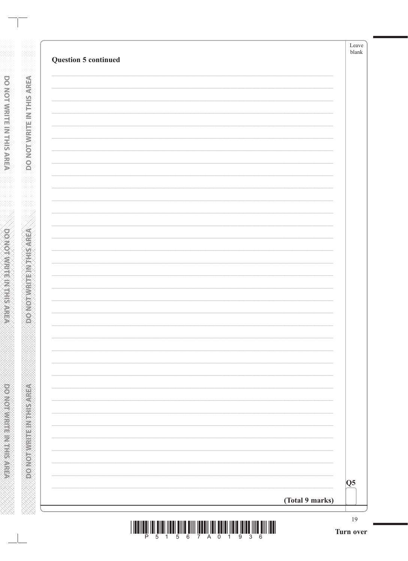| <b>Question 5 continued</b> |                 |                        |
|-----------------------------|-----------------|------------------------|
|                             |                 |                        |
|                             |                 |                        |
|                             |                 |                        |
|                             |                 |                        |
|                             |                 |                        |
|                             |                 |                        |
|                             |                 |                        |
|                             |                 |                        |
|                             |                 |                        |
|                             |                 |                        |
|                             |                 |                        |
|                             |                 |                        |
|                             |                 |                        |
|                             |                 |                        |
|                             |                 |                        |
|                             |                 |                        |
|                             |                 |                        |
|                             |                 |                        |
|                             |                 |                        |
|                             |                 |                        |
|                             |                 |                        |
|                             |                 |                        |
|                             |                 |                        |
|                             |                 |                        |
|                             |                 | $\overline{\text{Q5}}$ |
|                             | (Total 9 marks) |                        |

**DONOTWRITEINTHIS AREA** 

**DO NOT VRITE IN THIS AREA** www.www.www.www.www.www.www.ww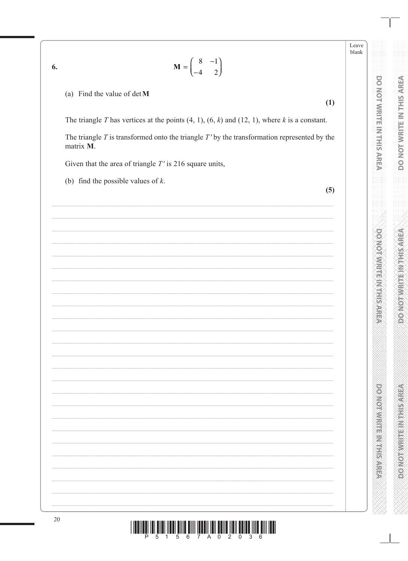Leave  $blank$ 

DO NOT WRITE IN THIS AREA

**DOMOTWRITEM THIS AREA** 

**DOMOGRAPHIC REPORTS** 

 $\mathbf{M} = \begin{pmatrix} 8 & -1 \\ -4 & 2 \end{pmatrix}$ 

(a) Find the value of  $det M$ 

6.

The triangle T has vertices at the points  $(4, 1)$ ,  $(6, k)$  and  $(12, 1)$ , where k is a constant.

The triangle  $T$  is transformed onto the triangle  $T'$  by the transformation represented by the matrix M.

Given that the area of triangle  $T'$  is 216 square units,

(b) find the possible values of  $k$ .

 $(5)$ 

 $(1)$ 

 $\parallel$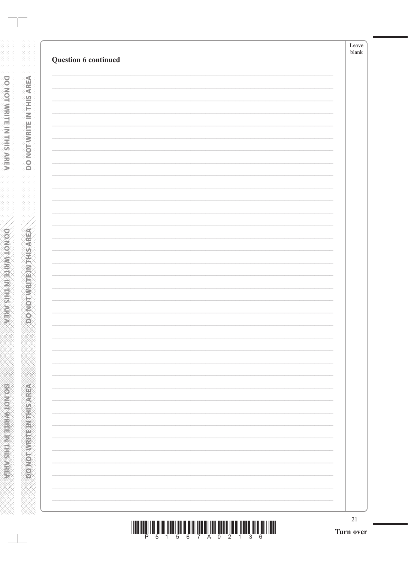| Question 6 continued | Leave<br>$b$ lank |
|----------------------|-------------------|
|                      |                   |
|                      |                   |
|                      |                   |
|                      |                   |
|                      |                   |
|                      |                   |
|                      |                   |
|                      |                   |
|                      |                   |
|                      |                   |
|                      |                   |
|                      |                   |
|                      |                   |
|                      |                   |
|                      |                   |
|                      |                   |
|                      |                   |
|                      |                   |
|                      |                   |
|                      |                   |
|                      |                   |
|                      |                   |
|                      |                   |
|                      |                   |
|                      |                   |
|                      |                   |
|                      |                   |

**DONOTWRITE INTHISAREA** 

**ABRAINE AND ARRAIGNMENT**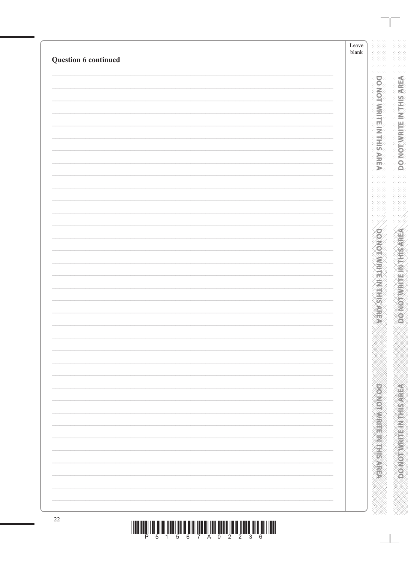| Question 6 continued | Leave<br>${\tt blank}$ |
|----------------------|------------------------|
|                      |                        |
|                      |                        |
|                      |                        |
|                      |                        |
|                      |                        |
|                      |                        |
|                      |                        |
|                      |                        |
|                      |                        |
|                      |                        |
|                      |                        |
|                      |                        |
|                      |                        |
|                      |                        |
|                      |                        |
|                      |                        |
|                      |                        |
|                      |                        |
|                      |                        |
|                      |                        |
|                      |                        |
|                      |                        |
|                      |                        |
|                      |                        |
|                      |                        |
|                      |                        |
|                      |                        |
|                      |                        |
|                      |                        |
|                      |                        |
|                      |                        |
|                      |                        |
|                      |                        |
|                      |                        |
|                      |                        |
|                      |                        |
|                      |                        |
|                      |                        |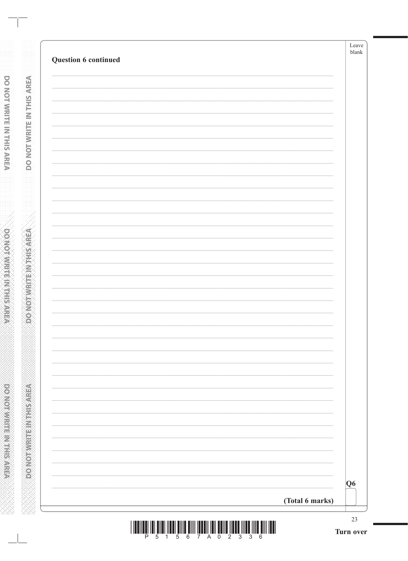| Q6 |  |
|----|--|
|    |  |
|    |  |
|    |  |
|    |  |
|    |  |
|    |  |
|    |  |
|    |  |
|    |  |
|    |  |
|    |  |
|    |  |
|    |  |
|    |  |
|    |  |
|    |  |
|    |  |
|    |  |
|    |  |
|    |  |
|    |  |
|    |  |
|    |  |

**DONOTWRITEINTHIS AREA** 

**A SERVER THE INFORMATION** www.www.www.www.www.www.www.ww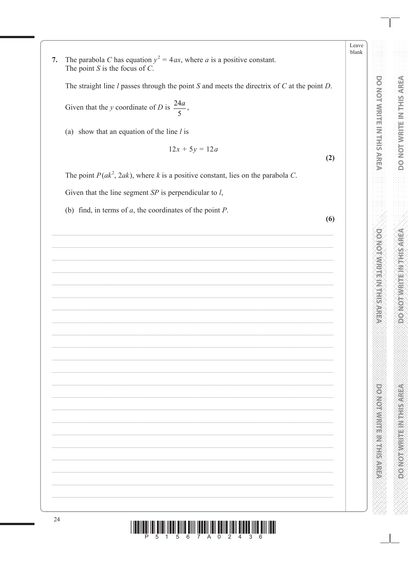Leave blank

The parabola C has equation  $y^2 = 4ax$ , where a is a positive constant.  $7.$ The point  $S$  is the focus of  $C$ .

The straight line  $l$  passes through the point  $S$  and meets the directrix of  $C$  at the point  $D$ .

Given that the y coordinate of D is  $\frac{24a}{5}$ ,

(a) show that an equation of the line  $l$  is

$$
12x + 5y = 12a
$$

The point  $P(ak^2, 2ak)$ , where k is a positive constant, lies on the parabola C.

Given that the line segment  $SP$  is perpendicular to  $l$ ,

(b) find, in terms of  $a$ , the coordinates of the point  $P$ .

 $(6)$ 

 $(2)$ 

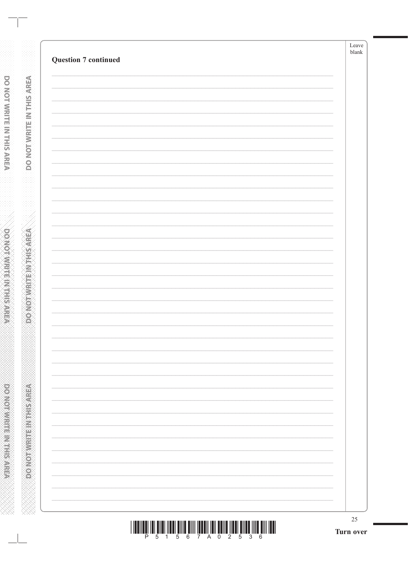**DONOTWRITE INTHISAREA** 

|  |  |  | 1 5 6 7 A 0 2 5 3 |  |  |  |
|--|--|--|-------------------|--|--|--|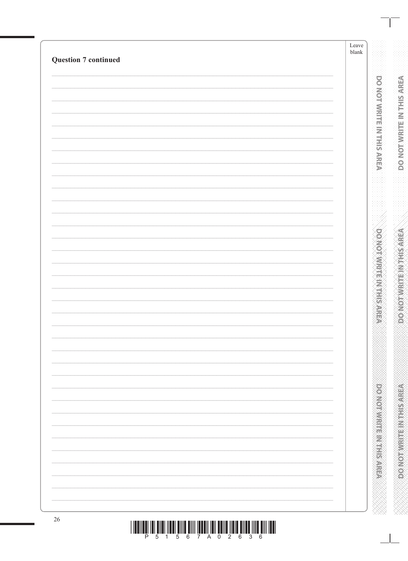| <b>Question 7 continued</b> | Leave<br>${\tt blank}$ |
|-----------------------------|------------------------|
|                             |                        |
|                             |                        |
|                             |                        |
|                             |                        |
|                             |                        |
|                             |                        |
|                             |                        |
|                             |                        |
|                             |                        |
|                             |                        |
|                             |                        |
|                             |                        |
|                             |                        |
|                             |                        |
|                             |                        |
|                             |                        |
|                             |                        |
|                             |                        |
|                             |                        |
|                             |                        |
|                             |                        |
|                             |                        |
|                             |                        |
|                             |                        |
|                             |                        |
|                             |                        |
|                             |                        |
|                             |                        |
|                             |                        |
|                             |                        |
|                             |                        |
|                             |                        |
|                             |                        |
|                             |                        |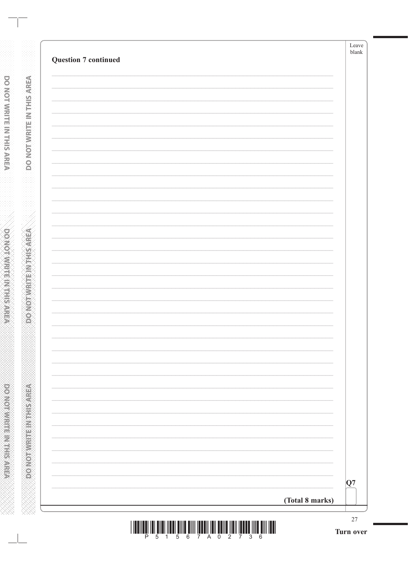|                 | $\overline{\mathbf{Q}}$ 7 |
|-----------------|---------------------------|
| (Total 8 marks) |                           |

**DONOTWRITEINTHIS AREA** 

**DO NOT VRITE IN THIS AREA** www.www.www.www.www.www.www.ww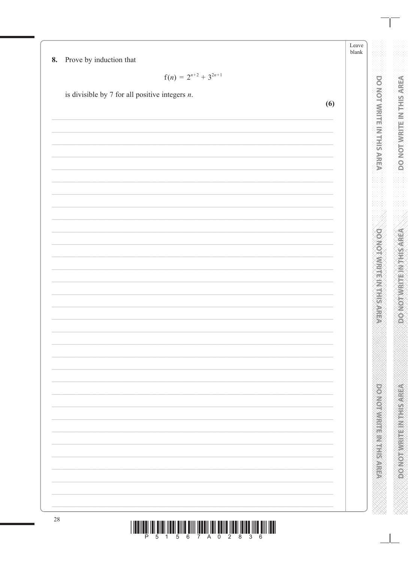Leave blank

Prove by induction that 8.

$$
f(n) = 2^{n+2} + 3^{2n+1}
$$

is divisible by 7 for all positive integers  $n$ .

 $(6)$ 28 

**DOMOTOMRITE IN THIS AREA** 

**POSTAGE IN THE REAL PROPERTY**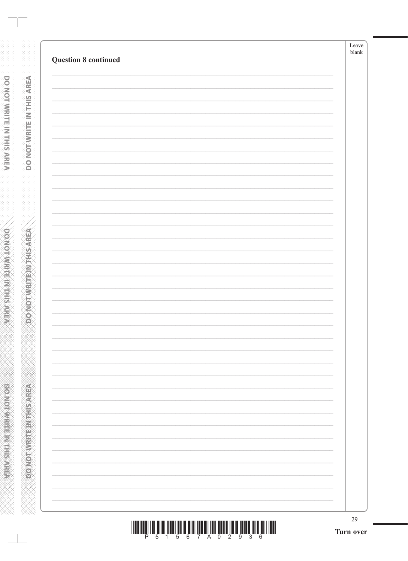|                             | 29<br>Turn over |
|-----------------------------|-----------------|
|                             |                 |
|                             |                 |
|                             |                 |
|                             |                 |
|                             |                 |
|                             |                 |
|                             |                 |
|                             |                 |
|                             |                 |
|                             |                 |
|                             |                 |
|                             |                 |
|                             |                 |
|                             |                 |
|                             |                 |
|                             |                 |
|                             |                 |
|                             |                 |
|                             |                 |
|                             |                 |
|                             |                 |
|                             |                 |
|                             |                 |
| <b>Question 8 continued</b> |                 |

**DONOTWRITE INTHIS AREA** 

**OONOTWRITEINTHISAREA**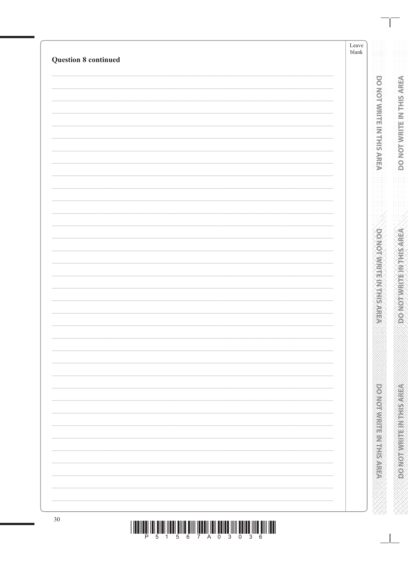| <b>Question 8 continued</b> | Leave<br>${\it blank}$ |
|-----------------------------|------------------------|
|                             |                        |
|                             |                        |
|                             |                        |
|                             |                        |
|                             |                        |
|                             |                        |
|                             |                        |
|                             |                        |
|                             |                        |
|                             |                        |
|                             |                        |
|                             |                        |
|                             |                        |
|                             |                        |
|                             |                        |
|                             |                        |
|                             |                        |
|                             |                        |
|                             |                        |
|                             |                        |
|                             |                        |
|                             |                        |
|                             |                        |
|                             |                        |
|                             |                        |
|                             |                        |
|                             |                        |
|                             |                        |
|                             |                        |
|                             |                        |
|                             |                        |
|                             |                        |
|                             |                        |
|                             |                        |
|                             |                        |
|                             |                        |
|                             |                        |
|                             |                        |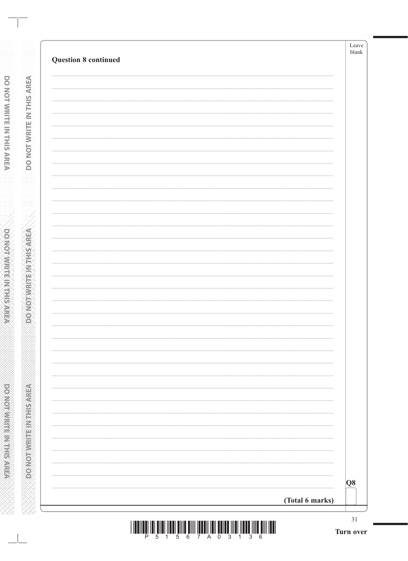| Q8 |
|----|

**DONOTWRITE IN THIS AREA** 

**DONOTWRITE IN THIS AREA** 

WWWWWWWWWWWWWWWWWWWWW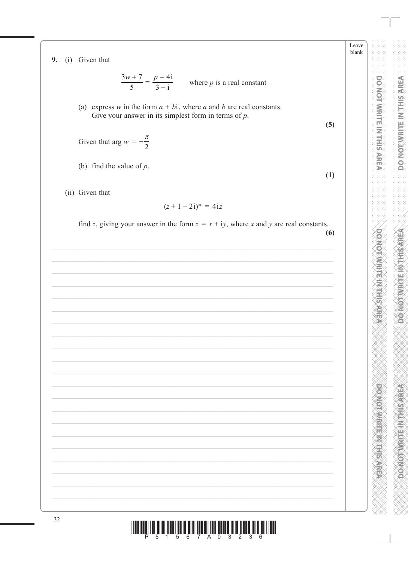9. (i) Given that

$$
\frac{3w+7}{5} = \frac{p-4i}{3-i}
$$
 where *p* is a real constant

(a) express w in the form  $a + bi$ , where a and b are real constants. Give your answer in its simplest form in terms of  $p$ .

 $(5)$ 

 $(1)$ 

 $\frac{\pi}{2}$ Given that arg  $w = -$ 

(b) find the value of  $p$ .

(ii) Given that

$$
(z+1-2i)^* = 4iz
$$

find z, giving your answer in the form  $z = x + iy$ , where x and y are real constants.

 $(6)$ 

|  |  |  |  |  |  | <u>IT IN THE TIME IN THE TIME TIME IN THE TIME IN THE TIME TIME TIME IN THE TIME IN THE TIME TIME IN THE TIME IN</u> |  |
|--|--|--|--|--|--|----------------------------------------------------------------------------------------------------------------------|--|
|  |  |  |  |  |  | P 5 1 5 6 7 A 0 3 2 3 6                                                                                              |  |

Leave blank

**DO NOT MRITE IN THIS AREA** 

**DOMOTIVE IN EINER ALER**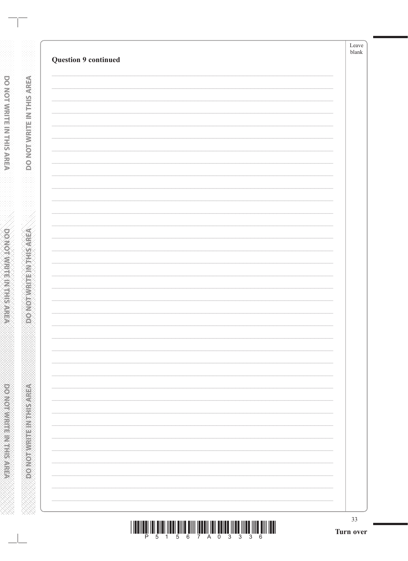| 33 |
|----|
|    |
|    |
|    |
|    |
|    |
|    |
|    |
|    |
|    |
|    |
|    |
|    |
|    |
|    |
|    |
|    |
|    |
|    |
|    |
|    |
|    |
|    |

**DONOTWRITE IN THIS AREA** 

**RENEWALK CONCORD**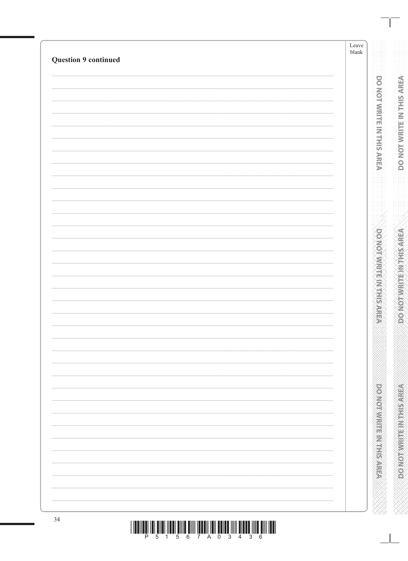| <b>Question 9 continued</b> | Leave<br>${\it blank}$ |
|-----------------------------|------------------------|
|                             |                        |
|                             |                        |
|                             |                        |
|                             |                        |
|                             |                        |
|                             |                        |
|                             |                        |
|                             |                        |
|                             |                        |
|                             |                        |
|                             |                        |
|                             |                        |
|                             |                        |
|                             |                        |
|                             |                        |
|                             |                        |
|                             |                        |
|                             |                        |
|                             |                        |
|                             |                        |
|                             |                        |
|                             |                        |
|                             |                        |
|                             |                        |
|                             |                        |
|                             |                        |
|                             |                        |
|                             |                        |
|                             |                        |
|                             |                        |
|                             |                        |
|                             |                        |
|                             |                        |
|                             |                        |
|                             |                        |
| 34                          |                        |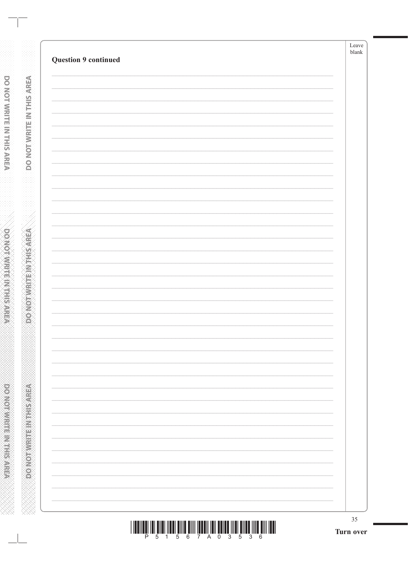| $35\,$ |
|--------|
|        |
|        |
|        |
|        |
|        |
|        |
|        |
|        |
|        |
|        |
|        |
|        |
|        |
|        |
|        |
|        |
|        |
|        |
|        |
|        |
|        |
|        |

**DONOTWRITE IN THIS AREA** 

**RENEWALK CONCORD**